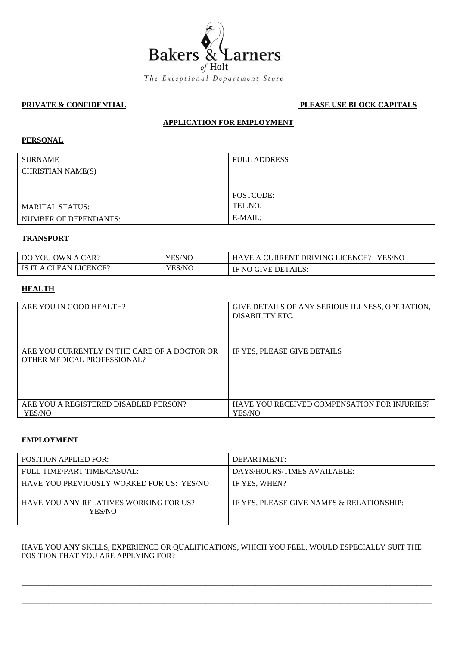

## **PRIVATE & CONFIDENTIAL PLEASE USE BLOCK CAPITALS**

## **APPLICATION FOR EMPLOYMENT**

## **PERSONAL**

| <b>SURNAME</b>           | <b>FULL ADDRESS</b> |
|--------------------------|---------------------|
| <b>CHRISTIAN NAME(S)</b> |                     |
|                          |                     |
|                          | POSTCODE:           |
| <b>MARITAL STATUS:</b>   | TEL.NO:             |
| NUMBER OF DEPENDANTS:    | $E-MAIL:$           |

#### **TRANSPORT**

| DO YOU OWN A CAR?      | YES/NC | HAVE A CURRENT DRIVING LICENCE?<br><b>YES/NC</b> |
|------------------------|--------|--------------------------------------------------|
| IS IT A CLEAN LICENCE? | YES/NC | IF NO GIVE DETAILS:                              |

# **HEALTH**

| ARE YOU IN GOOD HEALTH?                                                     | GIVE DETAILS OF ANY SERIOUS ILLNESS, OPERATION,<br>DISABILITY ETC. |
|-----------------------------------------------------------------------------|--------------------------------------------------------------------|
| ARE YOU CURRENTLY IN THE CARE OF A DOCTOR OR<br>OTHER MEDICAL PROFESSIONAL? | IF YES, PLEASE GIVE DETAILS                                        |
| ARE YOU A REGISTERED DISABLED PERSON?                                       | <b>HAVE YOU RECEIVED COMPENSATION FOR INJURIES?</b>                |
| YES/NO                                                                      | YES/NO                                                             |

#### **EMPLOYMENT**

| <b>POSITION APPLIED FOR:</b>                     | DEPARTMENT:                               |
|--------------------------------------------------|-------------------------------------------|
| FULL TIME/PART TIME/CASUAL:                      | DAYS/HOURS/TIMES AVAILABLE:               |
| HAVE YOU PREVIOUSLY WORKED FOR US: YES/NO        | IF YES, WHEN?                             |
| HAVE YOU ANY RELATIVES WORKING FOR US?<br>YES/NO | IF YES. PLEASE GIVE NAMES & RELATIONSHIP: |

## HAVE YOU ANY SKILLS, EXPERIENCE OR QUALIFICATIONS, WHICH YOU FEEL, WOULD ESPECIALLY SUIT THE POSITION THAT YOU ARE APPLYING FOR?

\_\_\_\_\_\_\_\_\_\_\_\_\_\_\_\_\_\_\_\_\_\_\_\_\_\_\_\_\_\_\_\_\_\_\_\_\_\_\_\_\_\_\_\_\_\_\_\_\_\_\_\_\_\_\_\_\_\_\_\_\_\_\_\_\_\_\_\_\_\_\_\_\_\_\_\_\_\_\_\_\_\_\_\_\_\_\_\_\_\_\_\_\_\_\_\_\_\_\_\_\_\_\_\_\_\_\_

\_\_\_\_\_\_\_\_\_\_\_\_\_\_\_\_\_\_\_\_\_\_\_\_\_\_\_\_\_\_\_\_\_\_\_\_\_\_\_\_\_\_\_\_\_\_\_\_\_\_\_\_\_\_\_\_\_\_\_\_\_\_\_\_\_\_\_\_\_\_\_\_\_\_\_\_\_\_\_\_\_\_\_\_\_\_\_\_\_\_\_\_\_\_\_\_\_\_\_\_\_\_\_\_\_\_\_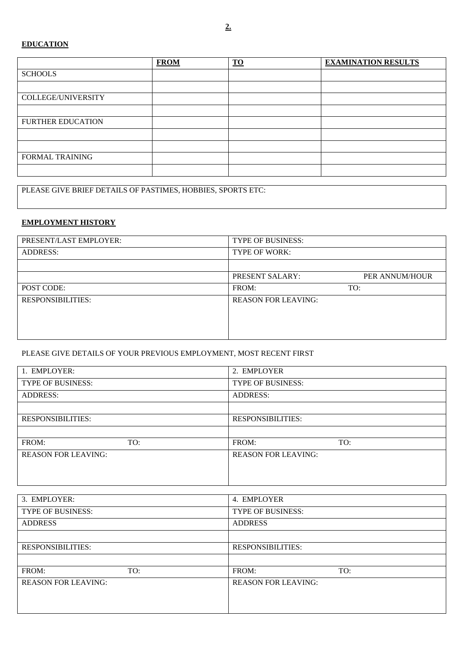## **EDUCATION**

|                          | <b>FROM</b> | $\underline{\mathbf{TO}}$ | <b>EXAMINATION RESULTS</b> |
|--------------------------|-------------|---------------------------|----------------------------|
| <b>SCHOOLS</b>           |             |                           |                            |
|                          |             |                           |                            |
| COLLEGE/UNIVERSITY       |             |                           |                            |
|                          |             |                           |                            |
| <b>FURTHER EDUCATION</b> |             |                           |                            |
|                          |             |                           |                            |
|                          |             |                           |                            |
| <b>FORMAL TRAINING</b>   |             |                           |                            |
|                          |             |                           |                            |

PLEASE GIVE BRIEF DETAILS OF PASTIMES, HOBBIES, SPORTS ETC:

## **EMPLOYMENT HISTORY**

| PRESENT/LAST EMPLOYER:   | TYPE OF BUSINESS:          |                |
|--------------------------|----------------------------|----------------|
| <b>ADDRESS:</b>          | <b>TYPE OF WORK:</b>       |                |
|                          |                            |                |
|                          | PRESENT SALARY:            | PER ANNUM/HOUR |
| POST CODE:               | FROM:                      | TO:            |
| <b>RESPONSIBILITIES:</b> | <b>REASON FOR LEAVING:</b> |                |
|                          |                            |                |
|                          |                            |                |
|                          |                            |                |

## PLEASE GIVE DETAILS OF YOUR PREVIOUS EMPLOYMENT, MOST RECENT FIRST

| 1. EMPLOYER:               |     | 2. EMPLOYER                |     |
|----------------------------|-----|----------------------------|-----|
| <b>TYPE OF BUSINESS:</b>   |     | <b>TYPE OF BUSINESS:</b>   |     |
| <b>ADDRESS:</b>            |     | <b>ADDRESS:</b>            |     |
|                            |     |                            |     |
| <b>RESPONSIBILITIES:</b>   |     | <b>RESPONSIBILITIES:</b>   |     |
|                            |     |                            |     |
| FROM:                      | TO: | FROM:                      | TO: |
| <b>REASON FOR LEAVING:</b> |     | <b>REASON FOR LEAVING:</b> |     |
|                            |     |                            |     |
|                            |     |                            |     |

| 3. EMPLOYER:               | 4. EMPLOYER                |
|----------------------------|----------------------------|
| <b>TYPE OF BUSINESS:</b>   | <b>TYPE OF BUSINESS:</b>   |
| <b>ADDRESS</b>             | <b>ADDRESS</b>             |
|                            |                            |
| <b>RESPONSIBILITIES:</b>   | <b>RESPONSIBILITIES:</b>   |
|                            |                            |
| FROM:<br>TO:               | FROM:<br>TO:               |
| <b>REASON FOR LEAVING:</b> | <b>REASON FOR LEAVING:</b> |
|                            |                            |
|                            |                            |